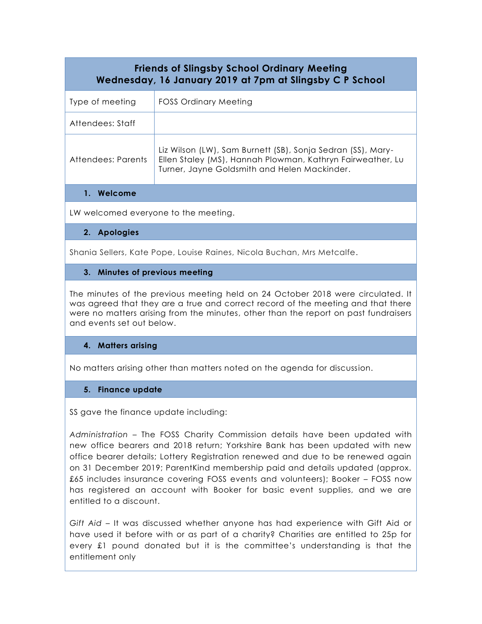| <b>Friends of Slingsby School Ordinary Meeting</b><br>Wednesday, 16 January 2019 at 7pm at Slingsby C P School |                                                                                                                                                                           |
|----------------------------------------------------------------------------------------------------------------|---------------------------------------------------------------------------------------------------------------------------------------------------------------------------|
| Type of meeting                                                                                                | FOSS Ordinary Meeting                                                                                                                                                     |
| Attendees: Staff                                                                                               |                                                                                                                                                                           |
| Attendees: Parents                                                                                             | Liz Wilson (LW), Sam Burnett (SB), Sonja Sedran (SS), Mary-<br>Ellen Staley (MS), Hannah Plowman, Kathryn Fairweather, Lu<br>Turner, Jayne Goldsmith and Helen Mackinder. |
| 1. Welcome                                                                                                     |                                                                                                                                                                           |
| 111/111                                                                                                        |                                                                                                                                                                           |

LW welcomed everyone to the meeting.

## **2. Apologies**

Shania Sellers, Kate Pope, Louise Raines, Nicola Buchan, Mrs Metcalfe.

## **3. Minutes of previous meeting**

The minutes of the previous meeting held on 24 October 2018 were circulated. It was agreed that they are a true and correct record of the meeting and that there were no matters arising from the minutes, other than the report on past fundraisers and events set out below.

# **4. Matters arising**

No matters arising other than matters noted on the agenda for discussion.

# **5. Finance update**

SS gave the finance update including:

*Administration* – The FOSS Charity Commission details have been updated with new office bearers and 2018 return; Yorkshire Bank has been updated with new office bearer details; Lottery Registration renewed and due to be renewed again on 31 December 2019; ParentKind membership paid and details updated (approx. £65 includes insurance covering FOSS events and volunteers); Booker – FOSS now has registered an account with Booker for basic event supplies, and we are entitled to a discount.

*Gift Aid* – It was discussed whether anyone has had experience with Gift Aid or have used it before with or as part of a charity? Charities are entitled to 25p for every £1 pound donated but it is the committee's understanding is that the entitlement only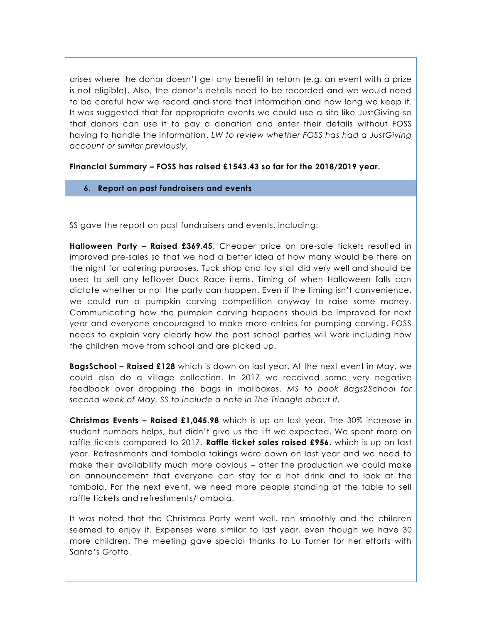arises where the donor doesn't get any benefit in return (e.g. an event with a prize is not eligible). Also, the donor's details need to be recorded and we would need to be careful how we record and store that information and how long we keep it. It was suggested that for appropriate events we could use a site like JustGiving so that donors can use it to pay a donation and enter their details without FOSS having to handle the information. *LW to review whether FOSS has had a JustGiving account or similar previously.*

# **Financial Summary – FOSS has raised £1543.43 so far for the 2018/2019 year.**

### **6. Report on past fundraisers and events**

SS gave the report on past fundraisers and events, including:

**Halloween Party – Raised £369.45**. Cheaper price on pre-sale tickets resulted in improved pre-sales so that we had a better idea of how many would be there on the night for catering purposes. Tuck shop and toy stall did very well and should be used to sell any leftover Duck Race items. Timing of when Halloween falls can dictate whether or not the party can happen. Even if the timing isn't convenience, we could run a pumpkin carving competition anyway to raise some money. Communicating how the pumpkin carving happens should be improved for next year and everyone encouraged to make more entries for pumping carving. FOSS needs to explain very clearly how the post school parties will work including how the children move from school and are picked up.

**BagsSchool – Raised £128** which is down on last year. At the next event in May, we could also do a village collection. In 2017 we received some very negative feedback over dropping the bags in mailboxes. *MS to book Bags2School for second week of May. SS to include a note in The Triangle about it.*

**Christmas Events – Raised £1,045.98** which is up on last year. The 30% increase in student numbers helps, but didn't give us the lift we expected. We spent more on raffle tickets compared to 2017. **Raffle ticket sales raised £956**, which is up on last year. Refreshments and tombola takings were down on last year and we need to make their availability much more obvious – after the production we could make an announcement that everyone can stay for a hot drink and to look at the tombola. For the next event, we need more people standing at the table to sell raffle tickets and refreshments/tombola.

It was noted that the Christmas Party went well, ran smoothly and the children seemed to enjoy it. Expenses were similar to last year, even though we have 30 more children. The meeting gave special thanks to Lu Turner for her efforts with Santa's Grotto.